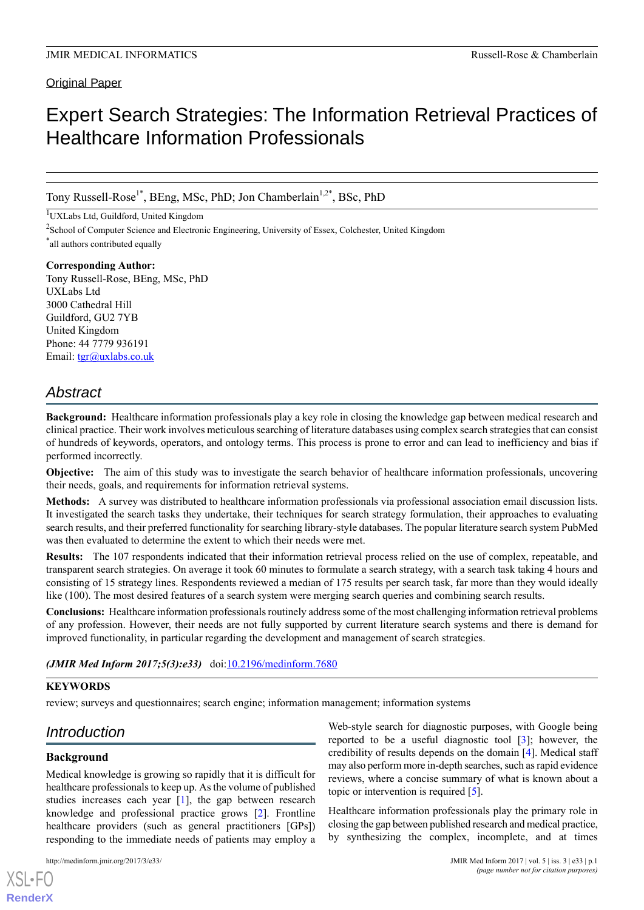### Original Paper

# Expert Search Strategies: The Information Retrieval Practices of Healthcare Information Professionals

Tony Russell-Rose<sup>1\*</sup>, BEng, MSc, PhD; Jon Chamberlain<sup>1,2\*</sup>, BSc, PhD

<sup>1</sup>UXLabs Ltd, Guildford, United Kingdom

<sup>2</sup> School of Computer Science and Electronic Engineering, University of Essex, Colchester, United Kingdom \* all authors contributed equally

**Corresponding Author:** Tony Russell-Rose, BEng, MSc, PhD UXLabs Ltd 3000 Cathedral Hill Guildford, GU2 7YB United Kingdom Phone: 44 7779 936191 Email: [tgr@uxlabs.co.uk](mailto:tgr@uxlabs.co.uk)

## *Abstract*

**Background:** Healthcare information professionals play a key role in closing the knowledge gap between medical research and clinical practice. Their work involves meticulous searching of literature databases using complex search strategies that can consist of hundreds of keywords, operators, and ontology terms. This process is prone to error and can lead to inefficiency and bias if performed incorrectly.

**Objective:** The aim of this study was to investigate the search behavior of healthcare information professionals, uncovering their needs, goals, and requirements for information retrieval systems.

**Methods:** A survey was distributed to healthcare information professionals via professional association email discussion lists. It investigated the search tasks they undertake, their techniques for search strategy formulation, their approaches to evaluating search results, and their preferred functionality for searching library-style databases. The popular literature search system PubMed was then evaluated to determine the extent to which their needs were met.

**Results:** The 107 respondents indicated that their information retrieval process relied on the use of complex, repeatable, and transparent search strategies. On average it took 60 minutes to formulate a search strategy, with a search task taking 4 hours and consisting of 15 strategy lines. Respondents reviewed a median of 175 results per search task, far more than they would ideally like (100). The most desired features of a search system were merging search queries and combining search results.

**Conclusions:** Healthcare information professionals routinely address some of the most challenging information retrieval problems of any profession. However, their needs are not fully supported by current literature search systems and there is demand for improved functionality, in particular regarding the development and management of search strategies.

### *(JMIR Med Inform 2017;5(3):e33)* doi: $10.2196/m$ edinform.7680

#### **KEYWORDS**

review; surveys and questionnaires; search engine; information management; information systems

## *Introduction*

### **Background**

[XSL](http://www.w3.org/Style/XSL)•FO **[RenderX](http://www.renderx.com/)**

Medical knowledge is growing so rapidly that it is difficult for healthcare professionals to keep up. As the volume of published studies increases each year [[1\]](#page-8-0), the gap between research knowledge and professional practice grows [\[2](#page-8-1)]. Frontline healthcare providers (such as general practitioners [GPs]) responding to the immediate needs of patients may employ a

Web-style search for diagnostic purposes, with Google being reported to be a useful diagnostic tool [[3\]](#page-8-2); however, the credibility of results depends on the domain [\[4](#page-8-3)]. Medical staff may also perform more in-depth searches, such as rapid evidence reviews, where a concise summary of what is known about a topic or intervention is required [[5\]](#page-9-0).

Healthcare information professionals play the primary role in closing the gap between published research and medical practice, by synthesizing the complex, incomplete, and at times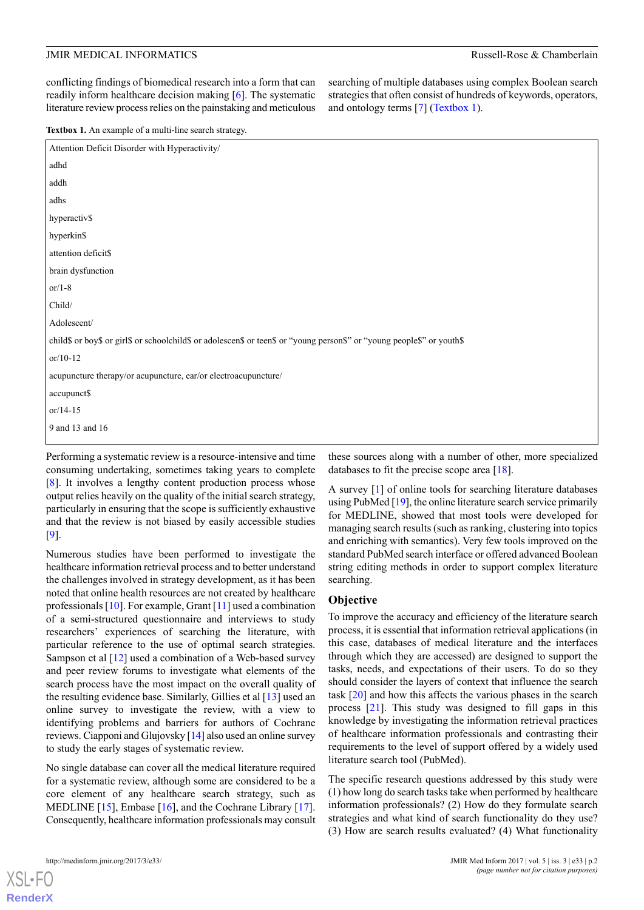conflicting findings of biomedical research into a form that can readily inform healthcare decision making [[6\]](#page-9-1). The systematic literature review process relies on the painstaking and meticulous searching of multiple databases using complex Boolean search strategies that often consist of hundreds of keywords, operators, and ontology terms [[7\]](#page-9-2) ([Textbox 1\)](#page-1-0).

<span id="page-1-0"></span>**Textbox 1.** An example of a multi-line search strategy.

| Attention Deficit Disorder with Hyperactivity/                                                                          |
|-------------------------------------------------------------------------------------------------------------------------|
| adhd                                                                                                                    |
| addh                                                                                                                    |
| adhs                                                                                                                    |
| hyperactiv\$                                                                                                            |
| hyperkin\$                                                                                                              |
| attention deficit\$                                                                                                     |
| brain dysfunction                                                                                                       |
| or $/1-8$                                                                                                               |
| Child/                                                                                                                  |
| Adolescent/                                                                                                             |
| child\$ or boy\$ or girl\$ or schoolchild\$ or adolescen\$ or teen\$ or "young person\$" or "young people\$" or youth\$ |
| $or/10-12$                                                                                                              |
| acupuncture therapy/or acupuncture, ear/or electroacupuncture/                                                          |
| accupunct\$                                                                                                             |
| $or/14-15$                                                                                                              |
| 9 and 13 and 16                                                                                                         |
|                                                                                                                         |

Performing a systematic review is a resource-intensive and time consuming undertaking, sometimes taking years to complete [[8\]](#page-9-3). It involves a lengthy content production process whose output relies heavily on the quality of the initial search strategy, particularly in ensuring that the scope is sufficiently exhaustive and that the review is not biased by easily accessible studies [[9\]](#page-9-4).

Numerous studies have been performed to investigate the healthcare information retrieval process and to better understand the challenges involved in strategy development, as it has been noted that online health resources are not created by healthcare professionals [\[10](#page-9-5)]. For example, Grant [\[11\]](#page-9-6) used a combination of a semi-structured questionnaire and interviews to study researchers' experiences of searching the literature, with particular reference to the use of optimal search strategies. Sampson et al [\[12](#page-9-7)] used a combination of a Web-based survey and peer review forums to investigate what elements of the search process have the most impact on the overall quality of the resulting evidence base. Similarly, Gillies et al [\[13](#page-9-8)] used an online survey to investigate the review, with a view to identifying problems and barriers for authors of Cochrane reviews. Ciapponi and Glujovsky [\[14](#page-9-9)] also used an online survey to study the early stages of systematic review.

No single database can cover all the medical literature required for a systematic review, although some are considered to be a core element of any healthcare search strategy, such as MEDLINE [\[15](#page-9-10)], Embase [\[16](#page-9-11)], and the Cochrane Library [[17\]](#page-9-12). Consequently, healthcare information professionals may consult

[XSL](http://www.w3.org/Style/XSL)•FO **[RenderX](http://www.renderx.com/)**

these sources along with a number of other, more specialized databases to fit the precise scope area [\[18](#page-9-13)].

A survey [[1\]](#page-8-0) of online tools for searching literature databases using PubMed [\[19](#page-9-14)], the online literature search service primarily for MEDLINE, showed that most tools were developed for managing search results (such as ranking, clustering into topics and enriching with semantics). Very few tools improved on the standard PubMed search interface or offered advanced Boolean string editing methods in order to support complex literature searching.

#### **Objective**

To improve the accuracy and efficiency of the literature search process, it is essential that information retrieval applications (in this case, databases of medical literature and the interfaces through which they are accessed) are designed to support the tasks, needs, and expectations of their users. To do so they should consider the layers of context that influence the search task [[20\]](#page-9-15) and how this affects the various phases in the search process [[21\]](#page-9-16). This study was designed to fill gaps in this knowledge by investigating the information retrieval practices of healthcare information professionals and contrasting their requirements to the level of support offered by a widely used literature search tool (PubMed).

The specific research questions addressed by this study were (1) how long do search tasks take when performed by healthcare information professionals? (2) How do they formulate search strategies and what kind of search functionality do they use? (3) How are search results evaluated? (4) What functionality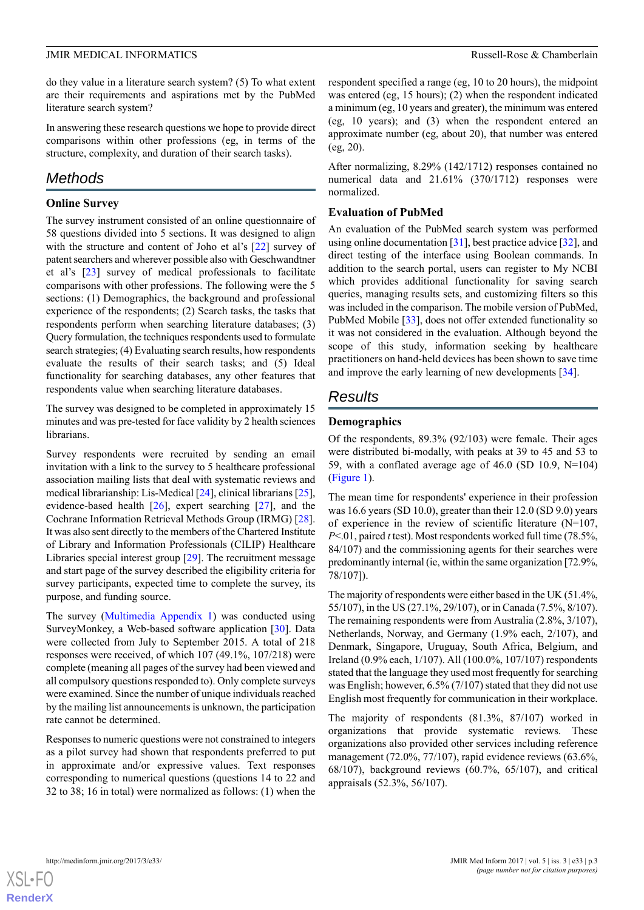do they value in a literature search system? (5) To what extent are their requirements and aspirations met by the PubMed literature search system?

In answering these research questions we hope to provide direct comparisons within other professions (eg, in terms of the structure, complexity, and duration of their search tasks).

### *Methods*

#### **Online Survey**

The survey instrument consisted of an online questionnaire of 58 questions divided into 5 sections. It was designed to align with the structure and content of Joho et al's [[22\]](#page-9-17) survey of patent searchers and wherever possible also with Geschwandtner et al's [\[23](#page-9-18)] survey of medical professionals to facilitate comparisons with other professions. The following were the 5 sections: (1) Demographics, the background and professional experience of the respondents; (2) Search tasks, the tasks that respondents perform when searching literature databases; (3) Query formulation, the techniques respondents used to formulate search strategies; (4) Evaluating search results, how respondents evaluate the results of their search tasks; and (5) Ideal functionality for searching databases, any other features that respondents value when searching literature databases.

The survey was designed to be completed in approximately 15 minutes and was pre-tested for face validity by 2 health sciences librarians.

Survey respondents were recruited by sending an email invitation with a link to the survey to 5 healthcare professional association mailing lists that deal with systematic reviews and medical librarianship: Lis-Medical [\[24](#page-9-19)], clinical librarians [[25\]](#page-9-20), evidence-based health [[26\]](#page-9-21), expert searching [\[27](#page-9-22)], and the Cochrane Information Retrieval Methods Group (IRMG) [[28\]](#page-9-23). It was also sent directly to the members of the Chartered Institute of Library and Information Professionals (CILIP) Healthcare Libraries special interest group [[29\]](#page-9-24). The recruitment message and start page of the survey described the eligibility criteria for survey participants, expected time to complete the survey, its purpose, and funding source.

The survey ([Multimedia Appendix 1\)](#page-8-4) was conducted using SurveyMonkey, a Web-based software application [[30\]](#page-9-25). Data were collected from July to September 2015. A total of 218 responses were received, of which 107 (49.1%, 107/218) were complete (meaning all pages of the survey had been viewed and all compulsory questions responded to). Only complete surveys were examined. Since the number of unique individuals reached by the mailing list announcements is unknown, the participation rate cannot be determined.

Responses to numeric questions were not constrained to integers as a pilot survey had shown that respondents preferred to put in approximate and/or expressive values. Text responses corresponding to numerical questions (questions 14 to 22 and 32 to 38; 16 in total) were normalized as follows: (1) when the respondent specified a range (eg, 10 to 20 hours), the midpoint was entered (eg, 15 hours); (2) when the respondent indicated a minimum (eg, 10 years and greater), the minimum was entered (eg, 10 years); and (3) when the respondent entered an approximate number (eg, about 20), that number was entered (eg, 20).

After normalizing, 8.29% (142/1712) responses contained no numerical data and 21.61% (370/1712) responses were normalized.

#### **Evaluation of PubMed**

An evaluation of the PubMed search system was performed using online documentation [\[31](#page-9-26)], best practice advice [\[32](#page-9-27)], and direct testing of the interface using Boolean commands. In addition to the search portal, users can register to My NCBI which provides additional functionality for saving search queries, managing results sets, and customizing filters so this was included in the comparison. The mobile version of PubMed, PubMed Mobile [[33\]](#page-10-0), does not offer extended functionality so it was not considered in the evaluation. Although beyond the scope of this study, information seeking by healthcare practitioners on hand-held devices has been shown to save time and improve the early learning of new developments [\[34](#page-10-1)].

### *Results*

#### **Demographics**

Of the respondents, 89.3% (92/103) were female. Their ages were distributed bi-modally, with peaks at 39 to 45 and 53 to 59, with a conflated average age of 46.0 (SD 10.9, N=104) ([Figure 1\)](#page-3-0).

The mean time for respondents' experience in their profession was 16.6 years (SD 10.0), greater than their 12.0 (SD 9.0) years of experience in the review of scientific literature (N=107, *P*<.01, paired *t* test). Most respondents worked full time (78.5%, 84/107) and the commissioning agents for their searches were predominantly internal (ie, within the same organization [72.9%, 78/107]).

The majority of respondents were either based in the UK (51.4%, 55/107), in the US (27.1%, 29/107), or in Canada (7.5%, 8/107). The remaining respondents were from Australia (2.8%, 3/107), Netherlands, Norway, and Germany (1.9% each, 2/107), and Denmark, Singapore, Uruguay, South Africa, Belgium, and Ireland (0.9% each, 1/107). All (100.0%, 107/107) respondents stated that the language they used most frequently for searching was English; however, 6.5% (7/107) stated that they did not use English most frequently for communication in their workplace.

The majority of respondents (81.3%, 87/107) worked in organizations that provide systematic reviews. These organizations also provided other services including reference management (72.0%, 77/107), rapid evidence reviews (63.6%, 68/107), background reviews (60.7%, 65/107), and critical appraisals (52.3%, 56/107).

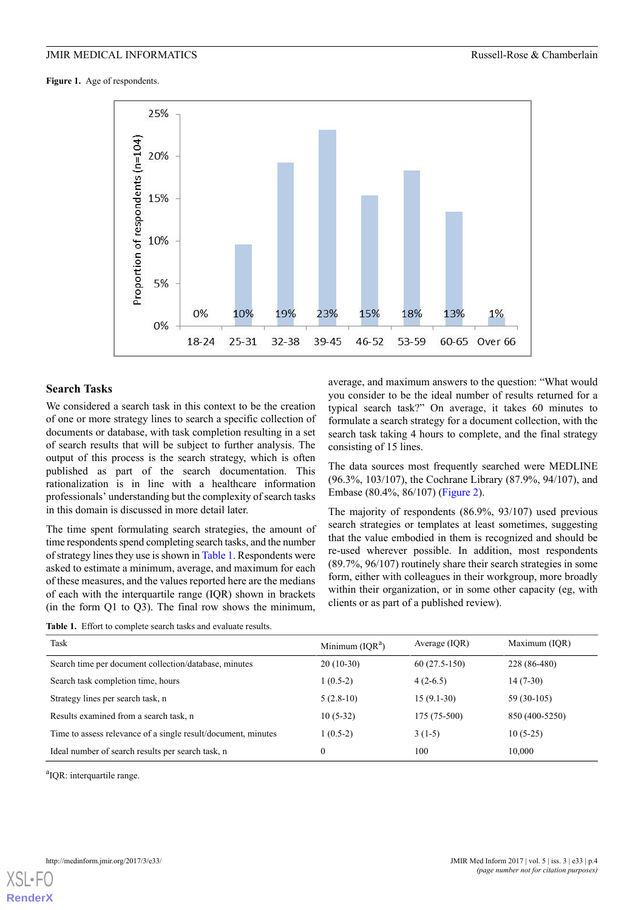<span id="page-3-0"></span>**Figure 1.** Age of respondents.



#### **Search Tasks**

We considered a search task in this context to be the creation of one or more strategy lines to search a specific collection of documents or database, with task completion resulting in a set of search results that will be subject to further analysis. The output of this process is the search strategy, which is often published as part of the search documentation. This rationalization is in line with a healthcare information professionals' understanding but the complexity of search tasks in this domain is discussed in more detail later.

<span id="page-3-1"></span>The time spent formulating search strategies, the amount of time respondents spend completing search tasks, and the number of strategy lines they use is shown in [Table 1.](#page-3-1) Respondents were asked to estimate a minimum, average, and maximum for each of these measures, and the values reported here are the medians of each with the interquartile range (IQR) shown in brackets (in the form Q1 to Q3). The final row shows the minimum,

average, and maximum answers to the question: "What would you consider to be the ideal number of results returned for a typical search task?" On average, it takes 60 minutes to formulate a search strategy for a document collection, with the search task taking 4 hours to complete, and the final strategy consisting of 15 lines.

The data sources most frequently searched were MEDLINE (96.3%, 103/107), the Cochrane Library (87.9%, 94/107), and Embase (80.4%, 86/107) ([Figure 2](#page-4-0)).

The majority of respondents (86.9%, 93/107) used previous search strategies or templates at least sometimes, suggesting that the value embodied in them is recognized and should be re-used wherever possible. In addition, most respondents (89.7%, 96/107) routinely share their search strategies in some form, either with colleagues in their workgroup, more broadly within their organization, or in some other capacity (eg, with clients or as part of a published review).

**Table 1.** Effort to complete search tasks and evaluate results.

| Task                                                          | Minimum $(IQRa)$ | Average (IQR)  | Maximum (IQR)  |
|---------------------------------------------------------------|------------------|----------------|----------------|
| Search time per document collection/database, minutes         | $20(10-30)$      | $60(27.5-150)$ | 228 (86-480)   |
| Search task completion time, hours                            | $1(0.5-2)$       | $4(2-6.5)$     | 14 (7-30)      |
| Strategy lines per search task, n                             | $5(2.8-10)$      | $15(9.1-30)$   | 59 (30-105)    |
| Results examined from a search task, n                        | $10(5-32)$       | $175(75-500)$  | 850 (400-5250) |
| Time to assess relevance of a single result/document, minutes | $(0.5-2)$        | $3(1-5)$       | $10(5-25)$     |
| Ideal number of search results per search task, n             |                  | 100            | 10,000         |

<sup>a</sup>IQR: interquartile range.

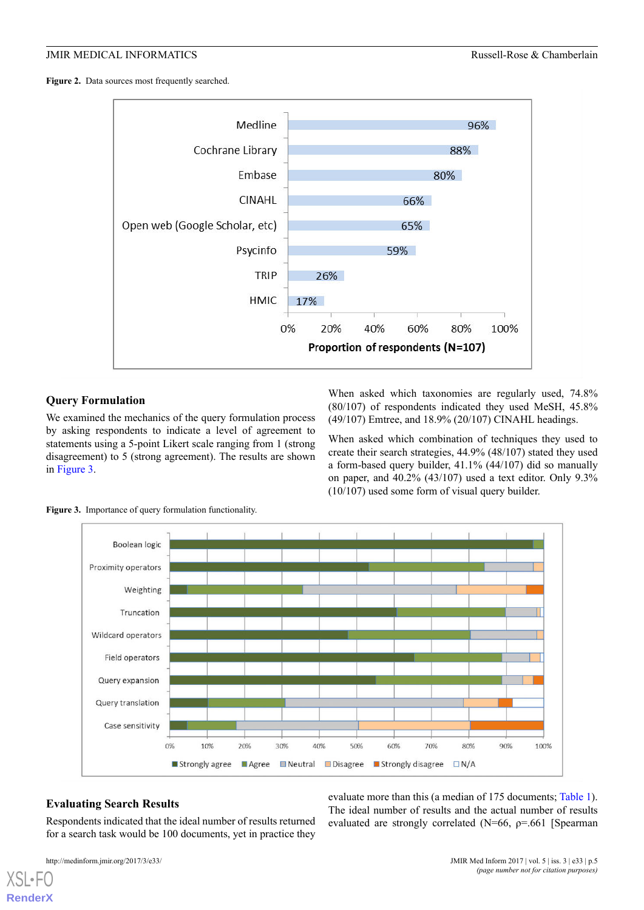<span id="page-4-0"></span>Figure 2. Data sources most frequently searched.



#### **Query Formulation**

<span id="page-4-1"></span>We examined the mechanics of the query formulation process by asking respondents to indicate a level of agreement to statements using a 5-point Likert scale ranging from 1 (strong disagreement) to 5 (strong agreement). The results are shown in [Figure 3](#page-4-1).

When asked which taxonomies are regularly used, 74.8% (80/107) of respondents indicated they used MeSH, 45.8% (49/107) Emtree, and 18.9% (20/107) CINAHL headings.

When asked which combination of techniques they used to create their search strategies, 44.9% (48/107) stated they used a form-based query builder, 41.1% (44/107) did so manually on paper, and 40.2% (43/107) used a text editor. Only 9.3% (10/107) used some form of visual query builder.



**Figure 3.** Importance of query formulation functionality.

### **Evaluating Search Results**

Respondents indicated that the ideal number of results returned for a search task would be 100 documents, yet in practice they

```
http://medinform.jmir.org/2017/3/e33/ JMIR Med Inform 2017 | vol. 5 | iss. 3 | e33 | p.5
```
[XSL](http://www.w3.org/Style/XSL)•FO **[RenderX](http://www.renderx.com/)**

evaluate more than this (a median of 175 documents; [Table 1\)](#page-3-1). The ideal number of results and the actual number of results evaluated are strongly correlated (N=66, ρ=.661 [Spearman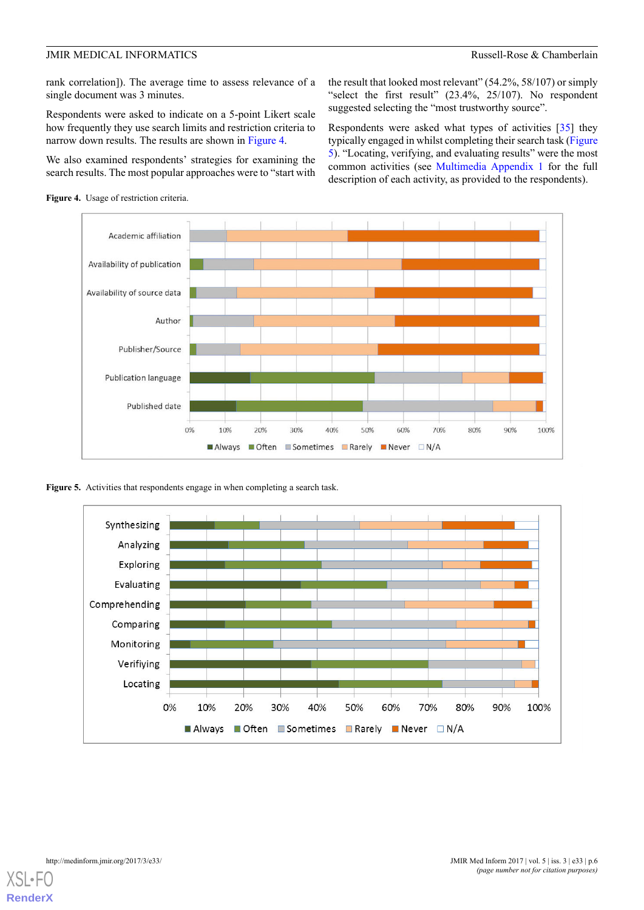rank correlation]). The average time to assess relevance of a single document was 3 minutes.

Respondents were asked to indicate on a 5-point Likert scale how frequently they use search limits and restriction criteria to narrow down results. The results are shown in [Figure 4.](#page-5-0)

We also examined respondents' strategies for examining the search results. The most popular approaches were to "start with

<span id="page-5-0"></span>

the result that looked most relevant" (54.2%, 58/107) or simply "select the first result" (23.4%, 25/107). No respondent suggested selecting the "most trustworthy source".

Respondents were asked what types of activities [[35\]](#page-10-2) they typically engaged in whilst completing their search task ([Figure](#page-5-1) [5\)](#page-5-1). "Locating, verifying, and evaluating results" were the most common activities (see [Multimedia Appendix 1](#page-8-4) for the full description of each activity, as provided to the respondents).



<span id="page-5-1"></span>Figure 5. Activities that respondents engage in when completing a search task.



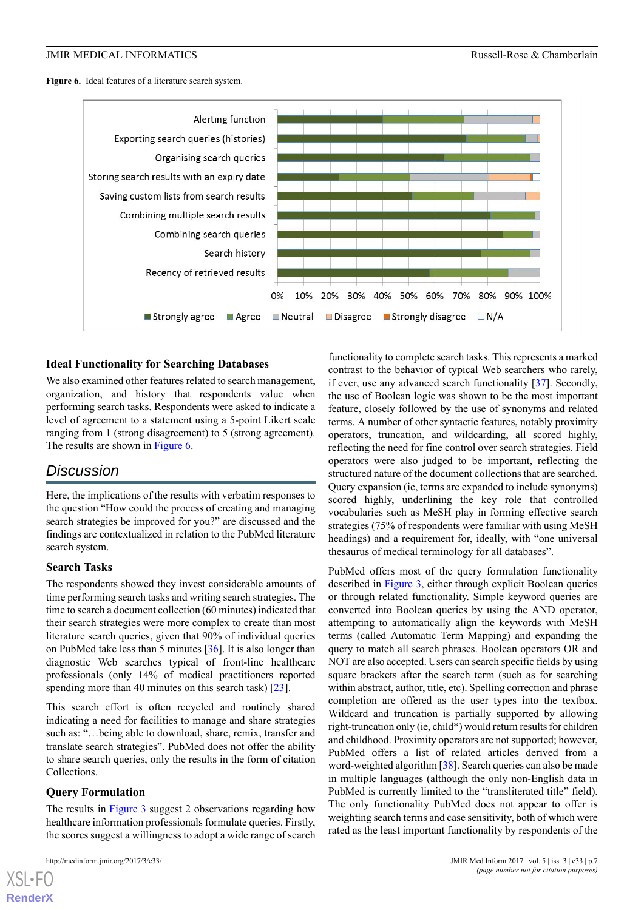<span id="page-6-0"></span>**Figure 6.** Ideal features of a literature search system.



#### **Ideal Functionality for Searching Databases**

We also examined other features related to search management, organization, and history that respondents value when performing search tasks. Respondents were asked to indicate a level of agreement to a statement using a 5-point Likert scale ranging from 1 (strong disagreement) to 5 (strong agreement). The results are shown in [Figure 6](#page-6-0).

### *Discussion*

Here, the implications of the results with verbatim responses to the question "How could the process of creating and managing search strategies be improved for you?" are discussed and the findings are contextualized in relation to the PubMed literature search system.

#### **Search Tasks**

The respondents showed they invest considerable amounts of time performing search tasks and writing search strategies. The time to search a document collection (60 minutes) indicated that their search strategies were more complex to create than most literature search queries, given that 90% of individual queries on PubMed take less than 5 minutes [\[36](#page-10-3)]. It is also longer than diagnostic Web searches typical of front-line healthcare professionals (only 14% of medical practitioners reported spending more than 40 minutes on this search task) [\[23](#page-9-18)].

This search effort is often recycled and routinely shared indicating a need for facilities to manage and share strategies such as: "…being able to download, share, remix, transfer and translate search strategies". PubMed does not offer the ability to share search queries, only the results in the form of citation Collections.

#### **Query Formulation**

The results in [Figure 3](#page-4-1) suggest 2 observations regarding how healthcare information professionals formulate queries. Firstly, the scores suggest a willingness to adopt a wide range of search

[XSL](http://www.w3.org/Style/XSL)•FO **[RenderX](http://www.renderx.com/)**

functionality to complete search tasks. This represents a marked contrast to the behavior of typical Web searchers who rarely, if ever, use any advanced search functionality [[37\]](#page-10-4). Secondly, the use of Boolean logic was shown to be the most important feature, closely followed by the use of synonyms and related terms. A number of other syntactic features, notably proximity operators, truncation, and wildcarding, all scored highly, reflecting the need for fine control over search strategies. Field operators were also judged to be important, reflecting the structured nature of the document collections that are searched. Query expansion (ie, terms are expanded to include synonyms) scored highly, underlining the key role that controlled vocabularies such as MeSH play in forming effective search strategies (75% of respondents were familiar with using MeSH headings) and a requirement for, ideally, with "one universal thesaurus of medical terminology for all databases".

PubMed offers most of the query formulation functionality described in [Figure 3,](#page-4-1) either through explicit Boolean queries or through related functionality. Simple keyword queries are converted into Boolean queries by using the AND operator, attempting to automatically align the keywords with MeSH terms (called Automatic Term Mapping) and expanding the query to match all search phrases. Boolean operators OR and NOT are also accepted. Users can search specific fields by using square brackets after the search term (such as for searching within abstract, author, title, etc). Spelling correction and phrase completion are offered as the user types into the textbox. Wildcard and truncation is partially supported by allowing right-truncation only (ie, child\*) would return results for children and childhood. Proximity operators are not supported; however, PubMed offers a list of related articles derived from a word-weighted algorithm [\[38](#page-10-5)]. Search queries can also be made in multiple languages (although the only non-English data in PubMed is currently limited to the "transliterated title" field). The only functionality PubMed does not appear to offer is weighting search terms and case sensitivity, both of which were rated as the least important functionality by respondents of the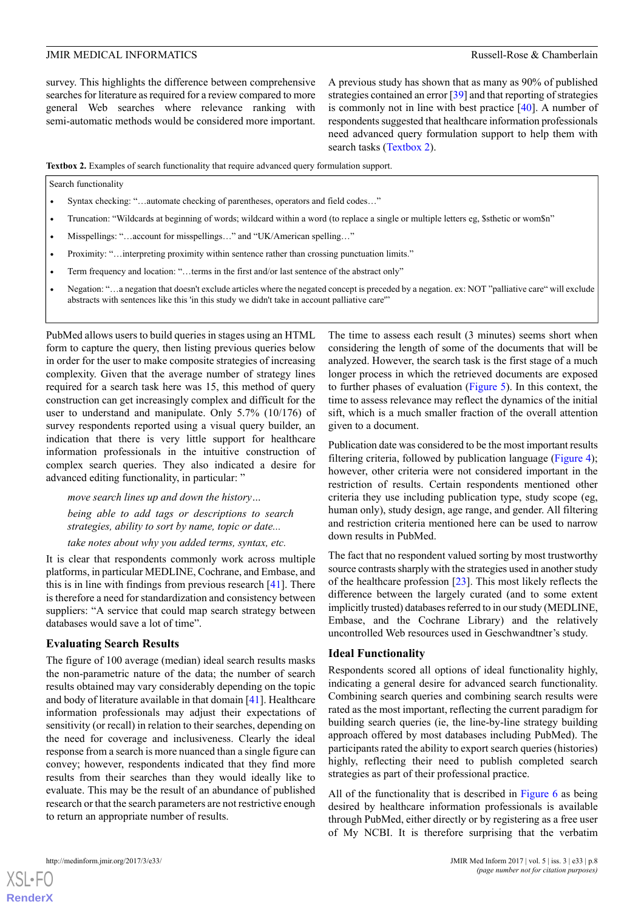survey. This highlights the difference between comprehensive searches for literature as required for a review compared to more general Web searches where relevance ranking with semi-automatic methods would be considered more important.

A previous study has shown that as many as 90% of published strategies contained an error [\[39\]](#page-10-6) and that reporting of strategies is commonly not in line with best practice [[40\]](#page-10-7). A number of respondents suggested that healthcare information professionals need advanced query formulation support to help them with search tasks ([Textbox 2\)](#page-7-0).

<span id="page-7-0"></span>**Textbox 2.** Examples of search functionality that require advanced query formulation support.

Search functionality

- Syntax checking: "...automate checking of parentheses, operators and field codes..."
- Truncation: "Wildcards at beginning of words; wildcard within a word (to replace a single or multiple letters eg, \$sthetic or wom\$n"
- Misspellings: "...account for misspellings..." and "UK/American spelling..."
- Proximity: "…interpreting proximity within sentence rather than crossing punctuation limits."
- Term frequency and location: "... terms in the first and/or last sentence of the abstract only"
- Negation: "…a negation that doesn't exclude articles where the negated concept is preceded by a negation. ex: NOT "palliative care" will exclude abstracts with sentences like this 'in this study we didn't take in account palliative care'"

PubMed allows users to build queries in stages using an HTML form to capture the query, then listing previous queries below in order for the user to make composite strategies of increasing complexity. Given that the average number of strategy lines required for a search task here was 15, this method of query construction can get increasingly complex and difficult for the user to understand and manipulate. Only 5.7% (10/176) of survey respondents reported using a visual query builder, an indication that there is very little support for healthcare information professionals in the intuitive construction of complex search queries. They also indicated a desire for advanced editing functionality, in particular: "

*move search lines up and down the history…*

*being able to add tags or descriptions to search strategies, ability to sort by name, topic or date...*

*take notes about why you added terms, syntax, etc.*

It is clear that respondents commonly work across multiple platforms, in particular MEDLINE, Cochrane, and Embase, and this is in line with findings from previous research [[41\]](#page-10-8). There is therefore a need for standardization and consistency between suppliers: "A service that could map search strategy between databases would save a lot of time".

#### **Evaluating Search Results**

The figure of 100 average (median) ideal search results masks the non-parametric nature of the data; the number of search results obtained may vary considerably depending on the topic and body of literature available in that domain [\[41](#page-10-8)]. Healthcare information professionals may adjust their expectations of sensitivity (or recall) in relation to their searches, depending on the need for coverage and inclusiveness. Clearly the ideal response from a search is more nuanced than a single figure can convey; however, respondents indicated that they find more results from their searches than they would ideally like to evaluate. This may be the result of an abundance of published research or that the search parameters are not restrictive enough to return an appropriate number of results.

The time to assess each result (3 minutes) seems short when considering the length of some of the documents that will be analyzed. However, the search task is the first stage of a much longer process in which the retrieved documents are exposed to further phases of evaluation ([Figure 5\)](#page-5-1). In this context, the time to assess relevance may reflect the dynamics of the initial sift, which is a much smaller fraction of the overall attention given to a document.

Publication date was considered to be the most important results filtering criteria, followed by publication language ([Figure 4\)](#page-5-0); however, other criteria were not considered important in the restriction of results. Certain respondents mentioned other criteria they use including publication type, study scope (eg, human only), study design, age range, and gender. All filtering and restriction criteria mentioned here can be used to narrow down results in PubMed.

The fact that no respondent valued sorting by most trustworthy source contrasts sharply with the strategies used in another study of the healthcare profession [\[23](#page-9-18)]. This most likely reflects the difference between the largely curated (and to some extent implicitly trusted) databases referred to in our study (MEDLINE, Embase, and the Cochrane Library) and the relatively uncontrolled Web resources used in Geschwandtner's study.

#### **Ideal Functionality**

Respondents scored all options of ideal functionality highly, indicating a general desire for advanced search functionality. Combining search queries and combining search results were rated as the most important, reflecting the current paradigm for building search queries (ie, the line-by-line strategy building approach offered by most databases including PubMed). The participants rated the ability to export search queries (histories) highly, reflecting their need to publish completed search strategies as part of their professional practice.

All of the functionality that is described in [Figure 6](#page-6-0) as being desired by healthcare information professionals is available through PubMed, either directly or by registering as a free user of My NCBI. It is therefore surprising that the verbatim



**[RenderX](http://www.renderx.com/)**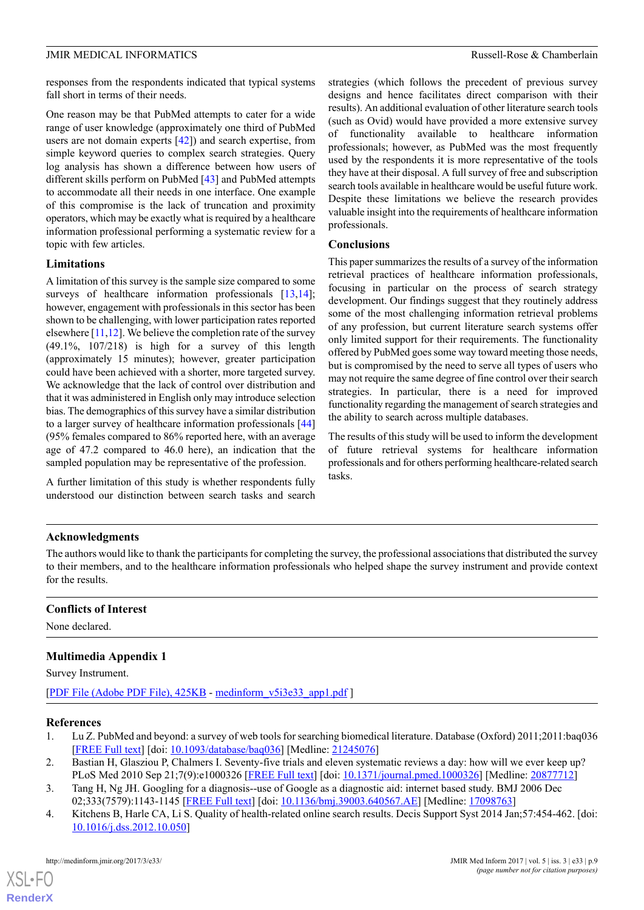responses from the respondents indicated that typical systems fall short in terms of their needs.

One reason may be that PubMed attempts to cater for a wide range of user knowledge (approximately one third of PubMed users are not domain experts [\[42](#page-10-9)]) and search expertise, from simple keyword queries to complex search strategies. Query log analysis has shown a difference between how users of different skills perform on PubMed [\[43](#page-10-10)] and PubMed attempts to accommodate all their needs in one interface. One example of this compromise is the lack of truncation and proximity operators, which may be exactly what is required by a healthcare information professional performing a systematic review for a topic with few articles.

#### **Limitations**

A limitation of this survey is the sample size compared to some surveys of healthcare information professionals [\[13](#page-9-8),[14\]](#page-9-9); however, engagement with professionals in this sector has been shown to be challenging, with lower participation rates reported elsewhere  $[11,12]$  $[11,12]$  $[11,12]$  $[11,12]$ . We believe the completion rate of the survey (49.1%, 107/218) is high for a survey of this length (approximately 15 minutes); however, greater participation could have been achieved with a shorter, more targeted survey. We acknowledge that the lack of control over distribution and that it was administered in English only may introduce selection bias. The demographics of this survey have a similar distribution to a larger survey of healthcare information professionals [\[44](#page-10-11)] (95% females compared to 86% reported here, with an average age of 47.2 compared to 46.0 here), an indication that the sampled population may be representative of the profession.

A further limitation of this study is whether respondents fully understood our distinction between search tasks and search strategies (which follows the precedent of previous survey designs and hence facilitates direct comparison with their results). An additional evaluation of other literature search tools (such as Ovid) would have provided a more extensive survey of functionality available to healthcare information professionals; however, as PubMed was the most frequently used by the respondents it is more representative of the tools they have at their disposal. A full survey of free and subscription search tools available in healthcare would be useful future work. Despite these limitations we believe the research provides valuable insight into the requirements of healthcare information professionals.

#### **Conclusions**

This paper summarizes the results of a survey of the information retrieval practices of healthcare information professionals, focusing in particular on the process of search strategy development. Our findings suggest that they routinely address some of the most challenging information retrieval problems of any profession, but current literature search systems offer only limited support for their requirements. The functionality offered by PubMed goes some way toward meeting those needs, but is compromised by the need to serve all types of users who may not require the same degree of fine control over their search strategies. In particular, there is a need for improved functionality regarding the management of search strategies and the ability to search across multiple databases.

The results of this study will be used to inform the development of future retrieval systems for healthcare information professionals and for others performing healthcare-related search tasks.

#### **Acknowledgments**

The authors would like to thank the participants for completing the survey, the professional associations that distributed the survey to their members, and to the healthcare information professionals who helped shape the survey instrument and provide context for the results.

#### <span id="page-8-4"></span>**Conflicts of Interest**

None declared.

#### <span id="page-8-0"></span>**Multimedia Appendix 1**

Survey Instrument.

<span id="page-8-1"></span>[[PDF File \(Adobe PDF File\), 425KB](https://medinform.jmir.org/article/downloadSuppFile/7680/50095) - [medinform\\_v5i3e33\\_app1.pdf](https://medinform.jmir.org/article/downloadSuppFile/7680/50095) ]

#### <span id="page-8-2"></span>**References**

 $XS$ -FO **[RenderX](http://www.renderx.com/)**

- <span id="page-8-3"></span>1. Lu Z. PubMed and beyond: a survey of web tools for searching biomedical literature. Database (Oxford) 2011;2011:baq036 [[FREE Full text](http://europepmc.org/abstract/MED/21245076)] [doi: [10.1093/database/baq036](http://dx.doi.org/10.1093/database/baq036)] [Medline: [21245076](http://www.ncbi.nlm.nih.gov/entrez/query.fcgi?cmd=Retrieve&db=PubMed&list_uids=21245076&dopt=Abstract)]
- 2. Bastian H, Glasziou P, Chalmers I. Seventy-five trials and eleven systematic reviews a day: how will we ever keep up? PLoS Med 2010 Sep 21;7(9):e1000326 [[FREE Full text](http://dx.plos.org/10.1371/journal.pmed.1000326)] [doi: [10.1371/journal.pmed.1000326\]](http://dx.doi.org/10.1371/journal.pmed.1000326) [Medline: [20877712\]](http://www.ncbi.nlm.nih.gov/entrez/query.fcgi?cmd=Retrieve&db=PubMed&list_uids=20877712&dopt=Abstract)
- 3. Tang H, Ng JH. Googling for a diagnosis--use of Google as a diagnostic aid: internet based study. BMJ 2006 Dec 02;333(7579):1143-1145 [\[FREE Full text\]](http://europepmc.org/abstract/MED/17098763) [doi: [10.1136/bmj.39003.640567.AE](http://dx.doi.org/10.1136/bmj.39003.640567.AE)] [Medline: [17098763\]](http://www.ncbi.nlm.nih.gov/entrez/query.fcgi?cmd=Retrieve&db=PubMed&list_uids=17098763&dopt=Abstract)
- 4. Kitchens B, Harle CA, Li S. Quality of health-related online search results. Decis Support Syst 2014 Jan;57:454-462. [doi: [10.1016/j.dss.2012.10.050](http://dx.doi.org/10.1016/j.dss.2012.10.050)]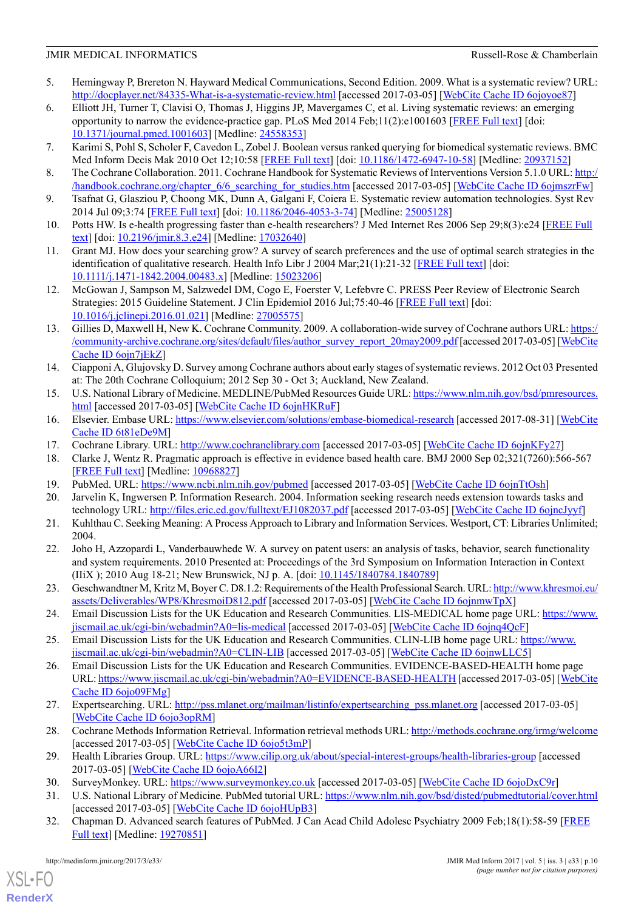- <span id="page-9-0"></span>5. Hemingway P, Brereton N. Hayward Medical Communications, Second Edition. 2009. What is a systematic review? URL: <http://docplayer.net/84335-What-is-a-systematic-review.html> [accessed 2017-03-05] [[WebCite Cache ID 6ojoyoe87\]](http://www.webcitation.org/6ojoyoe87)
- <span id="page-9-1"></span>6. Elliott JH, Turner T, Clavisi O, Thomas J, Higgins JP, Mavergames C, et al. Living systematic reviews: an emerging opportunity to narrow the evidence-practice gap. PLoS Med 2014 Feb;11(2):e1001603 [[FREE Full text](http://dx.plos.org/10.1371/journal.pmed.1001603)] [doi: [10.1371/journal.pmed.1001603](http://dx.doi.org/10.1371/journal.pmed.1001603)] [Medline: [24558353](http://www.ncbi.nlm.nih.gov/entrez/query.fcgi?cmd=Retrieve&db=PubMed&list_uids=24558353&dopt=Abstract)]
- <span id="page-9-3"></span><span id="page-9-2"></span>7. Karimi S, Pohl S, Scholer F, Cavedon L, Zobel J. Boolean versus ranked querying for biomedical systematic reviews. BMC Med Inform Decis Mak 2010 Oct 12;10:58 [\[FREE Full text\]](https://bmcmedinformdecismak.biomedcentral.com/articles/10.1186/1472-6947-10-58) [doi: [10.1186/1472-6947-10-58](http://dx.doi.org/10.1186/1472-6947-10-58)] [Medline: [20937152\]](http://www.ncbi.nlm.nih.gov/entrez/query.fcgi?cmd=Retrieve&db=PubMed&list_uids=20937152&dopt=Abstract)
- <span id="page-9-4"></span>8. The Cochrane Collaboration. 2011. Cochrane Handbook for Systematic Reviews of Interventions Version 5.1.0 URL: [http:/](http://handbook.cochrane.org/chapter_6/6_searching_for_studies.htm) [/handbook.cochrane.org/chapter\\_6/6\\_searching\\_for\\_studies.htm](http://handbook.cochrane.org/chapter_6/6_searching_for_studies.htm) [accessed 2017-03-05] [[WebCite Cache ID 6ojmszrFw](http://www.webcitation.org/6ojmszrFw)]
- <span id="page-9-5"></span>9. Tsafnat G, Glasziou P, Choong MK, Dunn A, Galgani F, Coiera E. Systematic review automation technologies. Syst Rev 2014 Jul 09;3:74 [[FREE Full text](https://systematicreviewsjournal.biomedcentral.com/articles/10.1186/2046-4053-3-74)] [doi: [10.1186/2046-4053-3-74](http://dx.doi.org/10.1186/2046-4053-3-74)] [Medline: [25005128\]](http://www.ncbi.nlm.nih.gov/entrez/query.fcgi?cmd=Retrieve&db=PubMed&list_uids=25005128&dopt=Abstract)
- <span id="page-9-6"></span>10. Potts HW. Is e-health progressing faster than e-health researchers? J Med Internet Res 2006 Sep 29;8(3):e24 [[FREE Full](http://www.jmir.org/2006/3/e24/) [text\]](http://www.jmir.org/2006/3/e24/) [doi: [10.2196/jmir.8.3.e24\]](http://dx.doi.org/10.2196/jmir.8.3.e24) [Medline: [17032640\]](http://www.ncbi.nlm.nih.gov/entrez/query.fcgi?cmd=Retrieve&db=PubMed&list_uids=17032640&dopt=Abstract)
- <span id="page-9-7"></span>11. Grant MJ. How does your searching grow? A survey of search preferences and the use of optimal search strategies in the identification of qualitative research. Health Info Libr J 2004 Mar;21(1):21-32 [[FREE Full text](http://dx.doi.org/10.1111/j.1471-1842.2004.00483.x)] [doi: [10.1111/j.1471-1842.2004.00483.x\]](http://dx.doi.org/10.1111/j.1471-1842.2004.00483.x) [Medline: [15023206](http://www.ncbi.nlm.nih.gov/entrez/query.fcgi?cmd=Retrieve&db=PubMed&list_uids=15023206&dopt=Abstract)]
- <span id="page-9-8"></span>12. McGowan J, Sampson M, Salzwedel DM, Cogo E, Foerster V, Lefebvre C. PRESS Peer Review of Electronic Search Strategies: 2015 Guideline Statement. J Clin Epidemiol 2016 Jul;75:40-46 [[FREE Full text](https://linkinghub.elsevier.com/retrieve/pii/S0895-4356(16)00058-5)] [doi: [10.1016/j.jclinepi.2016.01.021\]](http://dx.doi.org/10.1016/j.jclinepi.2016.01.021) [Medline: [27005575](http://www.ncbi.nlm.nih.gov/entrez/query.fcgi?cmd=Retrieve&db=PubMed&list_uids=27005575&dopt=Abstract)]
- <span id="page-9-9"></span>13. Gillies D, Maxwell H, New K. Cochrane Community. 2009. A collaboration-wide survey of Cochrane authors URL: [https:/](https://community-archive.cochrane.org/sites/default/files/author_survey_report_20may2009.pdf) [/community-archive.cochrane.org/sites/default/files/author\\_survey\\_report\\_20may2009.pdf](https://community-archive.cochrane.org/sites/default/files/author_survey_report_20may2009.pdf) [accessed 2017-03-05] [[WebCite](http://www.webcitation.org/6ojn7jEkZ) [Cache ID 6ojn7jEkZ\]](http://www.webcitation.org/6ojn7jEkZ)
- <span id="page-9-11"></span><span id="page-9-10"></span>14. Ciapponi A, Glujovsky D. Survey among Cochrane authors about early stages of systematic reviews. 2012 Oct 03 Presented at: The 20th Cochrane Colloquium; 2012 Sep 30 - Oct 3; Auckland, New Zealand.
- <span id="page-9-12"></span>15. U.S. National Library of Medicine. MEDLINE/PubMed Resources Guide URL: [https://www.nlm.nih.gov/bsd/pmresources.](https://www.nlm.nih.gov/bsd/pmresources.html) [html](https://www.nlm.nih.gov/bsd/pmresources.html) [accessed 2017-03-05] [[WebCite Cache ID 6ojnHKRuF](http://www.webcitation.org/6ojnHKRuF)]
- <span id="page-9-13"></span>16. Elsevier. Embase URL:<https://www.elsevier.com/solutions/embase-biomedical-research> [accessed 2017-08-31] [\[WebCite](http://www.webcitation.org/6t81eDe9M) [Cache ID 6t81eDe9M\]](http://www.webcitation.org/6t81eDe9M)
- <span id="page-9-15"></span><span id="page-9-14"></span>17. Cochrane Library. URL: <http://www.cochranelibrary.com> [accessed 2017-03-05] [\[WebCite Cache ID 6ojnKFy27](http://www.webcitation.org/6ojnKFy27)]
- <span id="page-9-16"></span>18. Clarke J, Wentz R. Pragmatic approach is effective in evidence based health care. BMJ 2000 Sep 02;321(7260):566-567 [[FREE Full text](http://europepmc.org/abstract/MED/10968827)] [Medline: [10968827](http://www.ncbi.nlm.nih.gov/entrez/query.fcgi?cmd=Retrieve&db=PubMed&list_uids=10968827&dopt=Abstract)]
- 19. PubMed. URL: <https://www.ncbi.nlm.nih.gov/pubmed> [accessed 2017-03-05] [[WebCite Cache ID 6ojnTtOsh](http://www.webcitation.org/6ojnTtOsh)]
- <span id="page-9-17"></span>20. Jarvelin K, Ingwersen P. Information Research. 2004. Information seeking research needs extension towards tasks and technology URL: <http://files.eric.ed.gov/fulltext/EJ1082037.pdf> [accessed 2017-03-05] [[WebCite Cache ID 6ojncJyyf\]](http://www.webcitation.org/6ojncJyyf)
- <span id="page-9-18"></span>21. Kuhlthau C. Seeking Meaning: A Process Approach to Library and Information Services. Westport, CT: Libraries Unlimited; 2004.
- <span id="page-9-19"></span>22. Joho H, Azzopardi L, Vanderbauwhede W. A survey on patent users: an analysis of tasks, behavior, search functionality and system requirements. 2010 Presented at: Proceedings of the 3rd Symposium on Information Interaction in Context (IIiX ); 2010 Aug 18-21; New Brunswick, NJ p. A. [doi: [10.1145/1840784.1840789\]](http://dx.doi.org/10.1145/1840784.1840789)
- <span id="page-9-21"></span><span id="page-9-20"></span>23. Geschwandtner M, Kritz M, Boyer C. D8.1.2: Requirements of the Health Professional Search. URL: [http://www.khresmoi.eu/](http://www.khresmoi.eu/assets/Deliverables/WP8/KhresmoiD812.pdf) [assets/Deliverables/WP8/KhresmoiD812.pdf](http://www.khresmoi.eu/assets/Deliverables/WP8/KhresmoiD812.pdf) [accessed 2017-03-05] [\[WebCite Cache ID 6ojnmwTpX\]](http://www.webcitation.org/6ojnmwTpX)
- 24. Email Discussion Lists for the UK Education and Research Communities. LIS-MEDICAL home page URL: [https://www.](https://www.jiscmail.ac.uk/cgi-bin/webadmin?A0=lis-medical) [jiscmail.ac.uk/cgi-bin/webadmin?A0=lis-medical](https://www.jiscmail.ac.uk/cgi-bin/webadmin?A0=lis-medical) [accessed 2017-03-05] [\[WebCite Cache ID 6ojnq4QcF\]](http://www.webcitation.org/6ojnq4QcF)
- <span id="page-9-22"></span>25. Email Discussion Lists for the UK Education and Research Communities. CLIN-LIB home page URL: [https://www.](https://www.jiscmail.ac.uk/cgi-bin/webadmin?A0=CLIN-LIB) [jiscmail.ac.uk/cgi-bin/webadmin?A0=CLIN-LIB](https://www.jiscmail.ac.uk/cgi-bin/webadmin?A0=CLIN-LIB) [accessed 2017-03-05] [[WebCite Cache ID 6ojnwLLC5](http://www.webcitation.org/6ojnwLLC5)]
- <span id="page-9-24"></span><span id="page-9-23"></span>26. Email Discussion Lists for the UK Education and Research Communities. EVIDENCE-BASED-HEALTH home page URL:<https://www.jiscmail.ac.uk/cgi-bin/webadmin?A0=EVIDENCE-BASED-HEALTH> [accessed 2017-03-05] [\[WebCite](http://www.webcitation.org/6ojo09FMg) [Cache ID 6ojo09FMg](http://www.webcitation.org/6ojo09FMg)]
- <span id="page-9-26"></span><span id="page-9-25"></span>27. Expertsearching. URL: [http://pss.mlanet.org/mailman/listinfo/expertsearching\\_pss.mlanet.org](http://pss.mlanet.org/mailman/listinfo/expertsearching_pss.mlanet.org) [accessed 2017-03-05] [[WebCite Cache ID 6ojo3opRM\]](http://www.webcitation.org/6ojo3opRM)
- <span id="page-9-27"></span>28. Cochrane Methods Information Retrieval. Information retrieval methods URL:<http://methods.cochrane.org/irmg/welcome> [accessed 2017-03-05] [\[WebCite Cache ID 6ojo5t3mP\]](http://www.webcitation.org/6ojo5t3mP)
- 29. Health Libraries Group. URL: <https://www.cilip.org.uk/about/special-interest-groups/health-libraries-group> [accessed 2017-03-05] [\[WebCite Cache ID 6ojoA66I2](http://www.webcitation.org/6ojoA66I2)]
- 30. SurveyMonkey. URL: <https://www.surveymonkey.co.uk> [accessed 2017-03-05] [[WebCite Cache ID 6ojoDxC9r](http://www.webcitation.org/6ojoDxC9r)]
- 31. U.S. National Library of Medicine. PubMed tutorial URL:<https://www.nlm.nih.gov/bsd/disted/pubmedtutorial/cover.html> [accessed 2017-03-05] [\[WebCite Cache ID 6ojoHUpB3\]](http://www.webcitation.org/6ojoHUpB3)
- 32. Chapman D. Advanced search features of PubMed. J Can Acad Child Adolesc Psychiatry 2009 Feb;18(1):58-59 [\[FREE](http://europepmc.org/abstract/MED/19270851) [Full text](http://europepmc.org/abstract/MED/19270851)] [Medline: [19270851\]](http://www.ncbi.nlm.nih.gov/entrez/query.fcgi?cmd=Retrieve&db=PubMed&list_uids=19270851&dopt=Abstract)

[XSL](http://www.w3.org/Style/XSL)•FO **[RenderX](http://www.renderx.com/)**